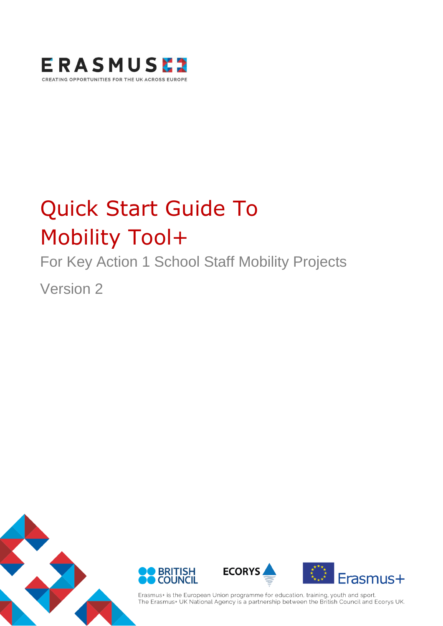

# Quick Start Guide To Mobility Tool+

For Key Action 1 School Staff Mobility Projects

Version 2



Erasmus+ is the European Union programme for education, training, youth and sport. The Erasmus+ UK National Agency is a partnership between the British Council and Ecorys UK.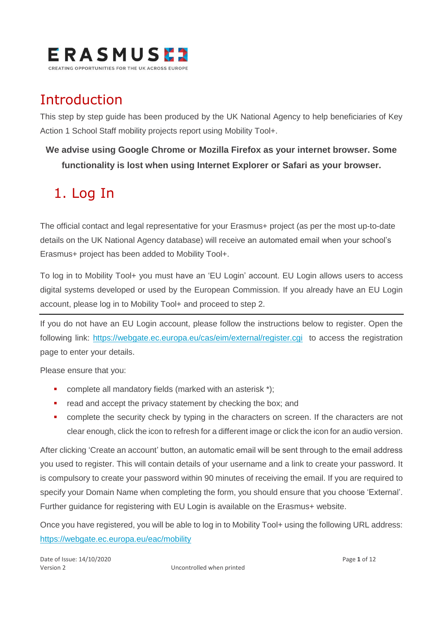

### Introduction

This step by step guide has been produced by the UK National Agency to help beneficiaries of Key Action 1 School Staff mobility projects report using Mobility Tool+.

### **We advise using Google Chrome or Mozilla Firefox as your internet browser. Some functionality is lost when using Internet Explorer or Safari as your browser.**

# 1. Log In

The official contact and legal representative for your Erasmus+ project (as per the most up-to-date details on the UK National Agency database) will receive an automated email when your school's Erasmus+ project has been added to Mobility Tool+.

To log in to Mobility Tool+ you must have an 'EU Login' account. EU Login allows users to access digital systems developed or used by the European Commission. If you already have an EU Login account, please log in to Mobility Tool+ and proceed to step 2.

If you do not have an EU Login account, please follow the instructions below to register. Open the following link:<https://webgate.ec.europa.eu/cas/eim/external/register.cgi> to access the registration page to enter your details.

Please ensure that you:

- complete all mandatory fields (marked with an asterisk \*);
- read and accept the privacy statement by checking the box; and
- **•** complete the security check by typing in the characters on screen. If the characters are not clear enough, click the icon to refresh for a different image or click the icon for an audio version.

After clicking 'Create an account' button, an automatic email will be sent through to the email address you used to register. This will contain details of your username and a link to create your password. It is compulsory to create your password within 90 minutes of receiving the email. If you are required to specify your Domain Name when completing the form, you should ensure that you choose 'External'. Further guidance for registering with EU Login is available on the Erasmus+ website.

Once you have registered, you will be able to log in to Mobility Tool+ using the following URL address: <https://webgate.ec.europa.eu/eac/mobility>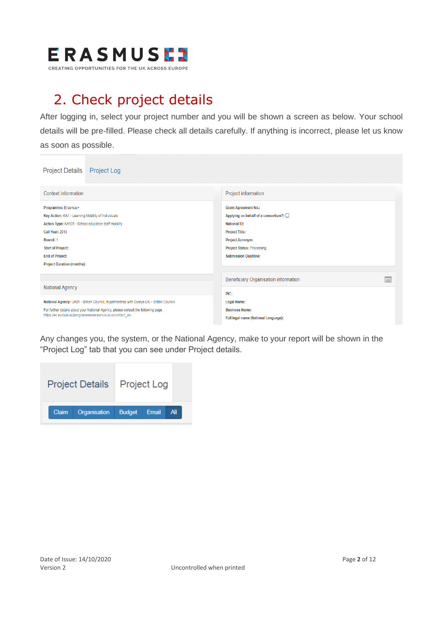

# 2. Check project details

After logging in, select your project number and you will be shown a screen as below. Your school details will be pre-filled. Please check all details carefully. If anything is incorrect, please let us know as soon as possible.

| <b>Project Details</b><br><b>Project Log</b>                                                                                                                                                                                                                       |                                                                                                                                                                                                                      |
|--------------------------------------------------------------------------------------------------------------------------------------------------------------------------------------------------------------------------------------------------------------------|----------------------------------------------------------------------------------------------------------------------------------------------------------------------------------------------------------------------|
| Context information                                                                                                                                                                                                                                                | Project information                                                                                                                                                                                                  |
| Programme: Erasmus+<br>Key Action: KA1 - Learning Mobility of Individuals<br>Action Type: KA101 - School education staff mobility<br>Call Year: 2018<br>Round: 1<br><b>Start of Project:</b><br><b>End of Project:</b><br><b>Project Duration (months):</b>        | <b>Grant Agreement No.:</b><br>Applying on behalf of a consortium?: 0<br><b>National ID:</b><br><b>Project Title:</b><br><b>Project Acronym:</b><br><b>Project Status: Processing</b><br><b>Submission Deadline:</b> |
|                                                                                                                                                                                                                                                                    | F<br>Beneficiary Organisation information                                                                                                                                                                            |
| <b>National Agency</b><br>National Agency: UK01 - British Council, in partnership with Ecorys UK - British Council<br>For further details about your National Agency, please consult the following page<br>https://ec.europa.eu/programmes/erasmus-plus/contact_en | PIC:<br><b>Legal Name:</b><br><b>Business Name:</b><br>Full legal name (National Language):                                                                                                                          |

Any changes you, the system, or the National Agency, make to your report will be shown in the "Project Log" tab that you can see under Project details.

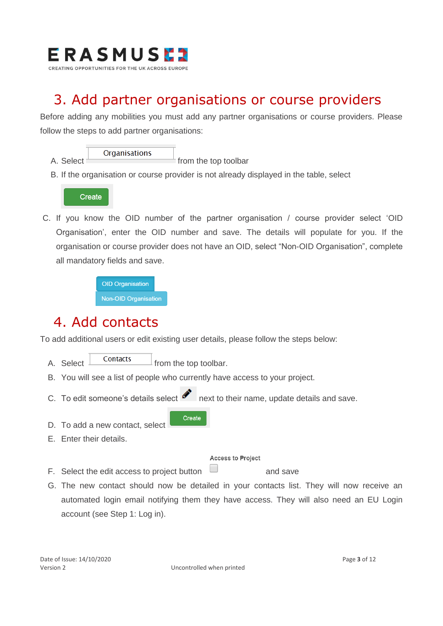

### 3. Add partner organisations or course providers

Before adding any mobilities you must add any partner organisations or course providers. Please follow the steps to add partner organisations:



B. If the organisation or course provider is not already displayed in the table, select



C. If you know the OID number of the partner organisation / course provider select 'OID Organisation', enter the OID number and save. The details will populate for you. If the organisation or course provider does not have an OID, select "Non-OID Organisation", complete all mandatory fields and save.

> **OID Organisation Non-OID Organisation**

### 4. Add contacts

To add additional users or edit existing user details, please follow the steps below:

- A. Select  $\Box$  Contacts  $\Box$  from the top toolbar.
- B. You will see a list of people who currently have access to your project.
- C. To edit someone's details select  $\bullet$  next to their name, update details and save.

Create

- D. To add a new contact, select
- E. Enter their details.

#### **Access to Project**

- F. Select the edit access to project button  $\Box$  and save
- G. The new contact should now be detailed in your contacts list. They will now receive an automated login email notifying them they have access. They will also need an EU Login account (see Step 1: Log in).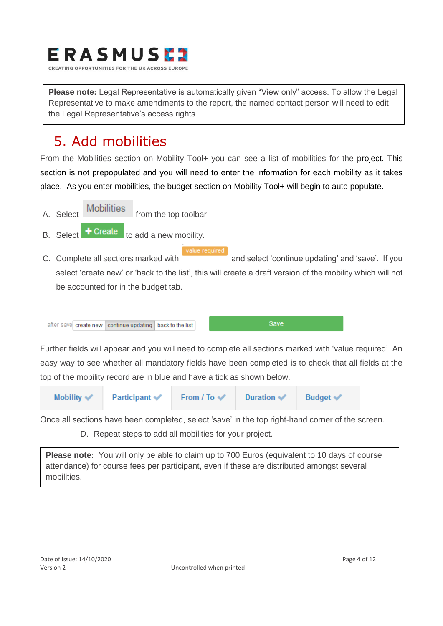

**Please note:** Legal Representative is automatically given "View only" access. To allow the Legal Representative to make amendments to the report, the named contact person will need to edit the Legal Representative's access rights.

## 5. Add mobilities

From the Mobilities section on Mobility Tool+ you can see a list of mobilities for the project. This section is not prepopulated and you will need to enter the information for each mobility as it takes place. As you enter mobilities, the budget section on Mobility Tool+ will begin to auto populate.

- A. Select Mobilities from the top toolbar.
- B. Select  $\bullet$  Create to add a new mobility.
- C. Complete all sections marked with and select 'continue updating' and 'save'. If you select 'create new' or 'back to the list', this will create a draft version of the mobility which will not be accounted for in the budget tab.



Further fields will appear and you will need to complete all sections marked with 'value required'. An easy way to see whether all mandatory fields have been completed is to check that all fields at the top of the mobility record are in blue and have a tick as shown below.



Once all sections have been completed, select 'save' in the top right-hand corner of the screen.

D. Repeat steps to add all mobilities for your project.

**Please note:** You will only be able to claim up to 700 Euros (equivalent to 10 days of course attendance) for course fees per participant, even if these are distributed amongst several mobilities.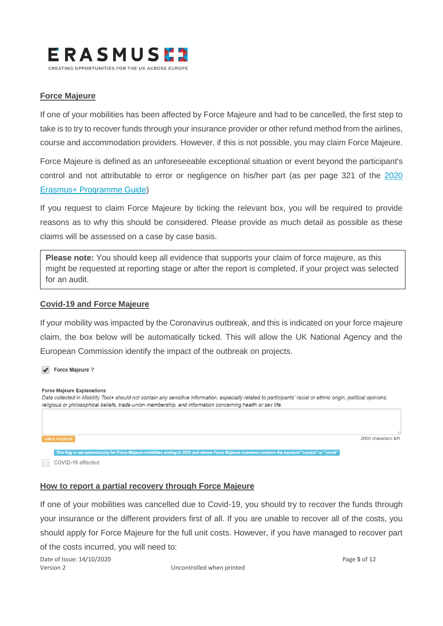

#### **Force Majeure**

If one of your mobilities has been affected by Force Majeure and had to be cancelled, the first step to take is to try to recover funds through your insurance provider or other refund method from the airlines, course and accommodation providers. However, if this is not possible, you may claim Force Majeure.

Force Majeure is defined as an unforeseeable exceptional situation or event beyond the participant's control and not attributable to error or negligence on his/her part (as per page 321 of the [2020](https://www.erasmusplus.org.uk/file/27659/download)  [Erasmus+ Programme Guide\)](https://www.erasmusplus.org.uk/file/27659/download)

If you request to claim Force Majeure by ticking the relevant box, you will be required to provide reasons as to why this should be considered. Please provide as much detail as possible as these claims will be assessed on a case by case basis.

**Please note:** You should keep all evidence that supports your claim of force majeure, as this might be requested at reporting stage or after the report is completed, if your project was selected for an audit.

#### **Covid-19 and Force Majeure**

If your mobility was impacted by the Coronavirus outbreak, and this is indicated on your force majeure claim, the box below will be automatically ticked. This will allow the UK National Agency and the European Commission identify the impact of the outbreak on projects.



#### **How to report a partial recovery through Force Majeure**

If one of your mobilities was cancelled due to Covid-19, you should try to recover the funds through your insurance or the different providers first of all. If you are unable to recover all of the costs, you should apply for Force Majeure for the full unit costs. However, if you have managed to recover part of the costs incurred, you will need to:

Date of Issue: 14/10/2020 Page **5** of 12 Version 2 Uncontrolled when printed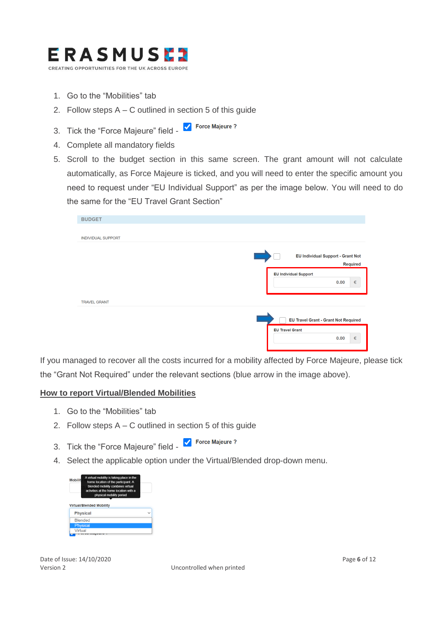

- 1. Go to the "Mobilities" tab
- 2. Follow steps A C outlined in section 5 of this guide
- 3. Tick the "Force Majeure" field **V** Force Majeure?
- 4. Complete all mandatory fields
- 5. Scroll to the budget section in this same screen. The grant amount will not calculate automatically, as Force Majeure is ticked, and you will need to enter the specific amount you need to request under "EU Individual Support" as per the image below. You will need to do the same for the "EU Travel Grant Section"

| <b>BUDGET</b>             |                                                             |
|---------------------------|-------------------------------------------------------------|
|                           |                                                             |
| <b>INDIVIDUAL SUPPORT</b> |                                                             |
|                           | <b>EU Individual Support - Grant Not</b><br><b>Required</b> |
|                           | <b>EU Individual Support</b>                                |
|                           | $\in$<br>0.00                                               |
| <b>TRAVEL GRANT</b>       |                                                             |
|                           |                                                             |
|                           | <b>EU Travel Grant - Grant Not Required</b>                 |
|                           | <b>EU Travel Grant</b><br>$\in$<br>0.00                     |

If you managed to recover all the costs incurred for a mobility affected by Force Majeure, please tick the "Grant Not Required" under the relevant sections (blue arrow in the image above).

#### **How to report Virtual/Blended Mobilities**

- 1. Go to the "Mobilities" tab
- 2. Follow steps A C outlined in section 5 of this guide
- 3. Tick the "Force Majeure" field Force Majeure?
- 4. Select the applicable option under the Virtual/Blended drop-down menu.



Date of Issue: 14/10/2020 Page **6** of 12

Version 2 Uncontrolled when printed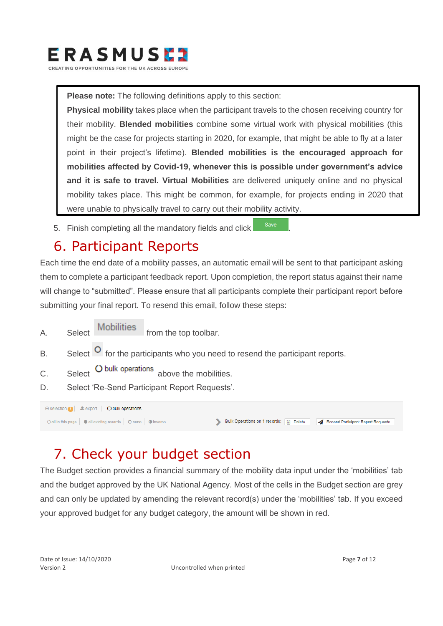

**Please note:** The following definitions apply to this section:

**Physical mobility** takes place when the participant travels to the chosen receiving country for their mobility. **Blended mobilities** combine some virtual work with physical mobilities (this might be the case for projects starting in 2020, for example, that might be able to fly at a later point in their project's lifetime). **Blended mobilities is the encouraged approach for mobilities affected by Covid-19, whenever this is possible under government's advice and it is safe to travel. Virtual Mobilities** are delivered uniquely online and no physical mobility takes place. This might be common, for example, for projects ending in 2020 that were unable to physically travel to carry out their mobility activity.

5. Finish completing all the mandatory fields and click save

### 6. Participant Reports

Each time the end date of a mobility passes, an automatic email will be sent to that participant asking them to complete a participant feedback report. Upon completion, the report status against their name will change to "submitted". Please ensure that all participants complete their participant report before submitting your final report. To resend this email, follow these steps:

- A. Select Mobilities from the top toolbar.
- B. Select  $\overline{O}$  for the participants who you need to resend the participant reports.
- C. Select O bulk operations above the mobilities.
- D. Select 'Re-Send Participant Report Requests'.

| ⊙ selection ( Lexport   C bulk operations                        |                                                                                      |
|------------------------------------------------------------------|--------------------------------------------------------------------------------------|
| ○ all in this page   ● all existing records   ○ none   ● inverse | Bulk Operations on 1 records: in Delete   <a> Resend Participant Report Requests</a> |

### 7. Check your budget section

The Budget section provides a financial summary of the mobility data input under the 'mobilities' tab and the budget approved by the UK National Agency. Most of the cells in the Budget section are grey and can only be updated by amending the relevant record(s) under the 'mobilities' tab. If you exceed your approved budget for any budget category, the amount will be shown in red.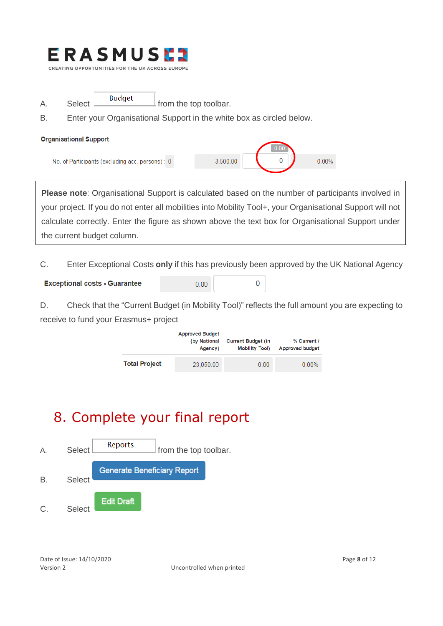

- $A.$  Select  $\frac{\text{Budget}}{\text{from the top toolbox}}$ .
- B. Enter your Organisational Support in the white box as circled below.

#### **Organisational Support** No. of Participants (excluding acc. persons) : 0 3.500.00  $\Omega$  $0.00%$

**Please note**: Organisational Support is calculated based on the number of participants involved in your project. If you do not enter all mobilities into Mobility Tool+, your Organisational Support will not calculate correctly. Enter the figure as shown above the text box for Organisational Support under the current budget column.

C. Enter Exceptional Costs **only** if this has previously been approved by the UK National Agency

 $\overline{0}$ 

| <b>Exceptional costs - Guarantee</b> | 0.00 |
|--------------------------------------|------|
|--------------------------------------|------|

D. Check that the "Current Budget (in Mobility Tool)" reflects the full amount you are expecting to receive to fund your Erasmus+ project

|                      | <b>Approved Budget</b><br>(by National<br>Agency) | <b>Current Budget (in</b><br><b>Mobility Tool)</b> | % Current /<br><b>Approved budget</b> |
|----------------------|---------------------------------------------------|----------------------------------------------------|---------------------------------------|
| <b>Total Project</b> | 23,050.00                                         | 0.00                                               | $0.00\%$                              |

# 8. Complete your final report

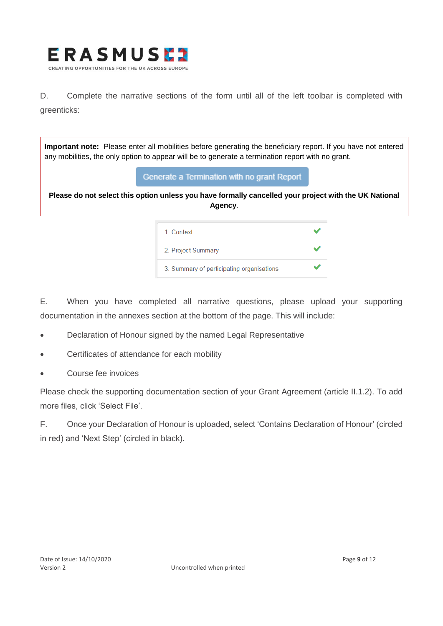

D. Complete the narrative sections of the form until all of the left toolbar is completed with greenticks:

**Important note:** Please enter all mobilities before generating the beneficiary report. If you have not entered any mobilities, the only option to appear will be to generate a termination report with no grant.

#### Generate a Termination with no grant Report

**Please do not select this option unless you have formally cancelled your project with the UK National Agency**.

| 1. Context                                |  |
|-------------------------------------------|--|
| 2. Project Summary                        |  |
| 3. Summary of participating organisations |  |

E. When you have completed all narrative questions, please upload your supporting documentation in the annexes section at the bottom of the page. This will include:

- Declaration of Honour signed by the named Legal Representative
- Certificates of attendance for each mobility
- Course fee invoices

Please check the supporting documentation section of your Grant Agreement (article II.1.2). To add more files, click 'Select File'.

F. Once your Declaration of Honour is uploaded, select 'Contains Declaration of Honour' (circled in red) and 'Next Step' (circled in black).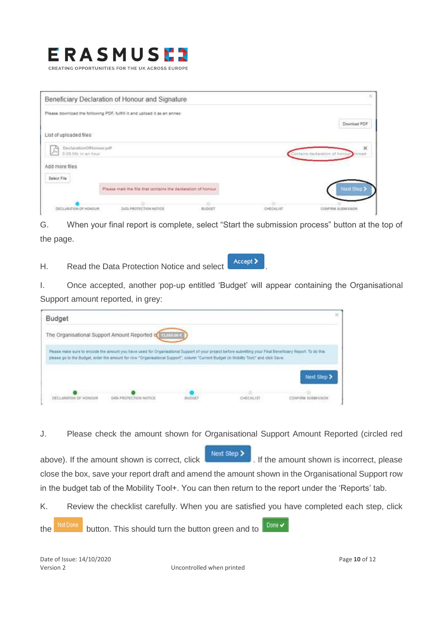### **RASMUS** CREATING OPPORTUNITIES FOR THE UK ACROSS EUROPE

| Please download the following PDF, fulfill it and upload it as an annex:<br>Download PDF<br>List of uploaded files<br>DeclarationOfHonour.pdf<br>$\mathbf{x}$<br>ρ۹<br>pu<br>0.09 Mb in an hour<br>Contains declaration of honour inmark<br>Add more files<br>Select File<br>Next Step ><br>Please mark the file that contains the declaration of honour | Beneficiary Declaration of Honour and Signature |  | × |
|----------------------------------------------------------------------------------------------------------------------------------------------------------------------------------------------------------------------------------------------------------------------------------------------------------------------------------------------------------|-------------------------------------------------|--|---|
|                                                                                                                                                                                                                                                                                                                                                          |                                                 |  |   |
|                                                                                                                                                                                                                                                                                                                                                          |                                                 |  |   |
|                                                                                                                                                                                                                                                                                                                                                          |                                                 |  |   |
|                                                                                                                                                                                                                                                                                                                                                          |                                                 |  |   |
|                                                                                                                                                                                                                                                                                                                                                          |                                                 |  |   |
|                                                                                                                                                                                                                                                                                                                                                          |                                                 |  |   |
|                                                                                                                                                                                                                                                                                                                                                          |                                                 |  |   |
| DECLARATION OF HONOUR<br>BUDGET<br>CHECKLIFT<br>DATA PROTECTION NOTICE<br><b>CONFIRM SUBMISSION</b>                                                                                                                                                                                                                                                      |                                                 |  |   |

G. When your final report is complete, select "Start the submission process" button at the top of the page.

H. Read the Data Protection Notice and select **Accept** 

I. Once accepted, another pop-up entitled 'Budget' will appear containing the Organisational Support amount reported, in grey:

| Budget                |                                                                                                                                                                                                                                                                                                      |  | ×           |
|-----------------------|------------------------------------------------------------------------------------------------------------------------------------------------------------------------------------------------------------------------------------------------------------------------------------------------------|--|-------------|
|                       | The Organisational Support Amount Reported is a useful of                                                                                                                                                                                                                                            |  |             |
|                       | Please make sure to encode the amount you have used for Organisational Support of your project before submitting your Final Beneficiary Report. To do this<br>please go to the Budget, enter the amount for row "Organisational Support", column "Current Budget (in Mobility Tool)" and click Save. |  |             |
|                       | 그 아이는 아이는 이 일에서 사이가 아이들이 없어 있어 있어 있어. 이 사이에서 이 사이를 하나 보기 위해 있다.                                                                                                                                                                                                                                      |  |             |
|                       |                                                                                                                                                                                                                                                                                                      |  | Next Step > |
| DECLARATION OF HONOUR | DATA PROTECTION NOTICE<br>a di kilombi ya mwaka 2019 mwaka                                                                                                                                                                                                                                           |  |             |

J. Please check the amount shown for Organisational Support Amount Reported (circled red

Next Step > above). If the amount shown is correct, click **the amount shown is incorrect**, please close the box, save your report draft and amend the amount shown in the Organisational Support row in the budget tab of the Mobility Tool+. You can then return to the report under the 'Reports' tab.

K. Review the checklist carefully. When you are satisfied you have completed each step, click

the NotDone button. This should turn the button green and to Done  $\blacktriangledown$ 

Date of Issue: 14/10/2020 Page **10** of 12 Version 2 Uncontrolled when printed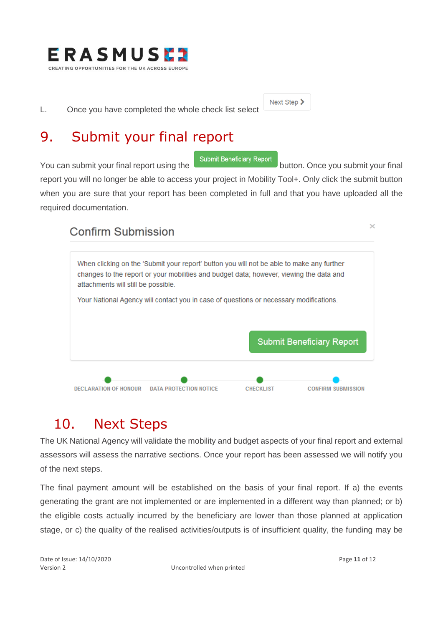

L. Once you have completed the whole check list select

### 9. Submit your final report

Next Step >

You can submit your final report using the submit Beneficiary Report button. Once you submit your final report you will no longer be able to access your project in Mobility Tool+. Only click the submit button when you are sure that your report has been completed in full and that you have uploaded all the required documentation.

### **Confirm Submission**



## 10. Next Steps

The UK National Agency will validate the mobility and budget aspects of your final report and external assessors will assess the narrative sections. Once your report has been assessed we will notify you of the next steps.

The final payment amount will be established on the basis of your final report. If a) the events generating the grant are not implemented or are implemented in a different way than planned; or b) the eligible costs actually incurred by the beneficiary are lower than those planned at application stage, or c) the quality of the realised activities/outputs is of insufficient quality, the funding may be

 $\mathcal{L}$